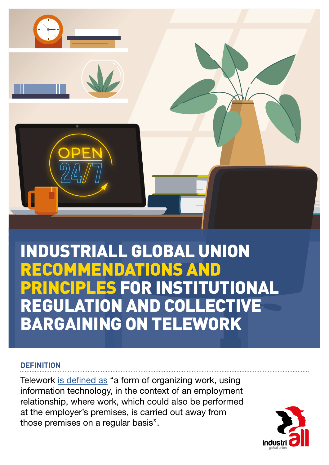

## **DEFINITION**

Telework [is defined as](https://resourcecentre.etuc.org/sites/default/files/2020-09/Telework%202002_Framework%20Agreement%20-%20EN.pdf) "a form of organizing work, using information technology, in the context of an employment relationship, where work, which could also be performed at the employer's premises, is carried out away from those premises on a regular basis".

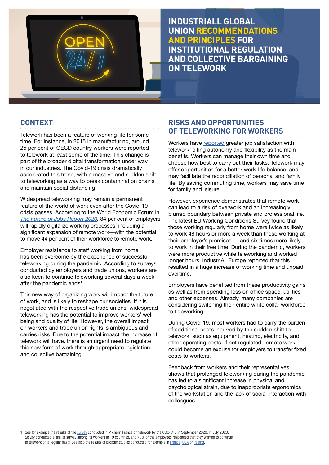

#### **CONTEXT**

Telework has been a feature of working life for some time. For instance, in 2015 in manufacturing, around 25 per cent of OECD country workers were reported to telework at least some of the time. This change is part of the broader digital transformation under way in our industries. The Covid-19 crisis dramatically accelerated this trend, with a massive and sudden shift to teleworking as a way to break contamination chains and maintain social distancing.

Widespread teleworking may remain a permanent feature of the world of work even after the Covid-19 crisis passes. According to the World Economic Forum in *[The Future of Jobs Report 2020](http://www3.weforum.org/docs/WEF_Future_of_Jobs_2020.pdf),* 84 per cent of employers will rapidly digitalize working processes, including a significant expansion of remote work—with the potential to move 44 per cent of their workforce to remote work.

Employer resistance to staff working from home has been overcome by the experience of successful teleworking during the pandemic. According to surveys conducted by employers and trade unions, workers are also keen to continue teleworking several days a week after the pandemic ends<sup>1</sup>.

This new way of organizing work will impact the future of work, and is likely to reshape our societies. If it is negotiated with the respective trade unions, widespread teleworking has the potential to improve workers' wellbeing and quality of life. However, the overall impact on workers and trade union rights is ambiguous and carries risks. Due to the potential impact the increase of telework will have, there is an urgent need to regulate this new form of work through appropriate legislation and collective bargaining.

#### **RISKS AND OPPORTUNITIES OF TELEWORKING FOR WORKERS**

Workers have [reported](https://news.industriall-europe.eu/content/documents/upload/2020/11/637419067413075266_EN%20-%20Position%20Paper%20Telework.pdf) greater job satisfaction with telework, citing autonomy and flexibility as the main benefits. Workers can manage their own time and choose how best to carry out their tasks. Telework may offer opportunities for a better work-life balance, and may facilitate the reconciliation of personal and family life. By saving commuting time, workers may save time for family and leisure.

However, experience demonstrates that remote work can lead to a risk of overwork and an increasingly blurred boundary between private and professional life. The latest EU Working Conditions Survey found that those working regularly from home were twice as likely to work 48 hours or more a week than those working at their employer's premises — and six times more likely to work in their free time. During the pandemic, workers were more productive while teleworking and worked longer hours. IndustriAll Europe reported that this resulted in a huge increase of working time and unpaid overtime.

Employers have benefited from these productivity gains as well as from spending less on office space, utilities and other expenses. Already, many companies are considering switching their entire white collar workforce to teleworking.

During Covid-19, most workers had to carry the burden of additional costs incurred by the sudden shift to telework, such as equipment, heating, electricity, and other operating costs. If not regulated, remote work could become an excuse for employers to transfer fixed costs to workers.

Feedback from workers and their representatives shows that prolonged teleworking during the pandemic has led to a significant increase in physical and psychological strain, due to inappropriate ergonomics of the workstation and the lack of social interaction with colleagues.

1 See for example the results of the [survey](http://www.google.com/url?sa=t&rct=j&q=&esrc=s&source=web&cd=&ved=2ahUKEwj97ZesxfjwAhUCgf0HHaB1BhwQFjAAegQICRAF&url=http%3A%2F%2Fwww.cfecgcmichelin.org%2Fapp%2Fdownload%2F35869505%2FR%25C3%25A9sultats%2Bde%2Bl%25E2%2580%2599enqu%25C3%25AAte%2BTELETRAVAIL%2B2020.pdf&usg=AOvVaw3XE6guevD6Wg8WtJ4H8R3-&cshid=1622622988822574) conducted in Michelin France on telework by the CGC-CFE in September 2020. In July 2020, Solvay conducted a similar survey among its workers in 19 countries, and 70% or the employees responded that they wanted to continue to telework on a regular basis. See also the results of broader studies conducted for example in [France,](https://www.lesechos.fr/economie-france/social/sondage-exclusif-les-francais-seduits-par-le-teletravail-1204045) [USA](https://www.pwc.com/us/en/library/covid-19/assets/pwc-return-to-work-survey.pdf) or [Ireland](https://www.newsletter.co.uk/business/new-survey-shows-87-staff-wish-work-home-post-lockdown-world-2864590).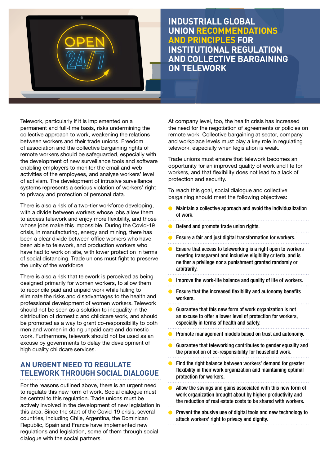

Telework, particularly if it is implemented on a permanent and full-time basis, risks undermining the collective approach to work, weakening the relations between workers and their trade unions. Freedom of association and the collective bargaining rights of remote workers should be safeguarded, especially with the development of new surveillance tools and software enabling employers to monitor the email and web activities of the employees, and analyse workers' level of activism. The development of intrusive surveillance systems represents a serious violation of workers' right to privacy and protection of personal data.

There is also a risk of a two-tier workforce developing, with a divide between workers whose jobs allow them to access telework and enjoy more flexibility, and those whose jobs make this impossible. During the Covid-19 crisis, in manufacturing, energy and mining, there has been a clear divide between office workers who have been able to telework, and production workers who have had to work on site, with lower protection in terms of social distancing. Trade unions must fight to preserve the unity of the workforce.

There is also a risk that telework is perceived as being designed primarily for women workers, to allow them to reconcile paid and unpaid work while failing to eliminate the risks and disadvantages to the health and professional development of women workers. Telework should not be seen as a solution to inequality in the distribution of domestic and childcare work, and should be promoted as a way to grant co-responsibility to both men and women in doing unpaid care and domestic work. Furthermore, telework should not be used as an excuse by governments to delay the development of high quality childcare services.

### **AN URGENT NEED TO REGULATE TELEWORK THROUGH SOCIAL DIALOGUE**

For the reasons outlined above, there is an urgent need to regulate this new form of work. Social dialogue must be central to this regulation. Trade unions must be actively involved in the development of new legislation in this area. Since the start of the Covid-19 crisis, several countries, including Chile, Argentina, the Dominican Republic, Spain and France have implemented new regulations and legislation, some of them through social dialogue with the social partners.

At company level, too, the health crisis has increased the need for the negotiation of agreements or policies on remote work. Collective bargaining at sector, company and workplace levels must play a key role in regulating telework, especially when legislation is weak.

Trade unions must ensure that telework becomes an opportunity for an improved quality of work and life for workers, and that flexibility does not lead to a lack of protection and security.

To reach this goal, social dialogue and collective bargaining should meet the following objectives:

- Maintain a collective approach and avoid the individualization of work.
- Defend and promote trade union rights.
- Ensure a fair and just digital transformation for workers.
- Ensure that access to teleworking is a right open to workers  $\bullet$ meeting transparent and inclusive eligibility criteria, and is neither a privilege nor a punishment granted randomly or arbitrarily.
- Improve the work-life balance and quality of life of workers.
- Ensure that the increased flexibility and autonomy benefits workers.
- Guarantee that this new form of work organization is not an excuse to offer a lower level of protection for workers, especially in terms of health and safety.
- Promote management models based on trust and autonomy.
- $\bullet$ Guarantee that teleworking contributes to gender equality and the promotion of co-responsibility for household work.
- **C** Find the right balance between workers' demand for greater flexibility in their work organization and maintaining optimal protection for workers.
- Allow the savings and gains associated with this new form of work organization brought about by higher productivity and the reduction of real estate costs to be shared with workers.
- $\bullet$  Prevent the abusive use of digital tools and new technology to attack workers' right to privacy and dignity.